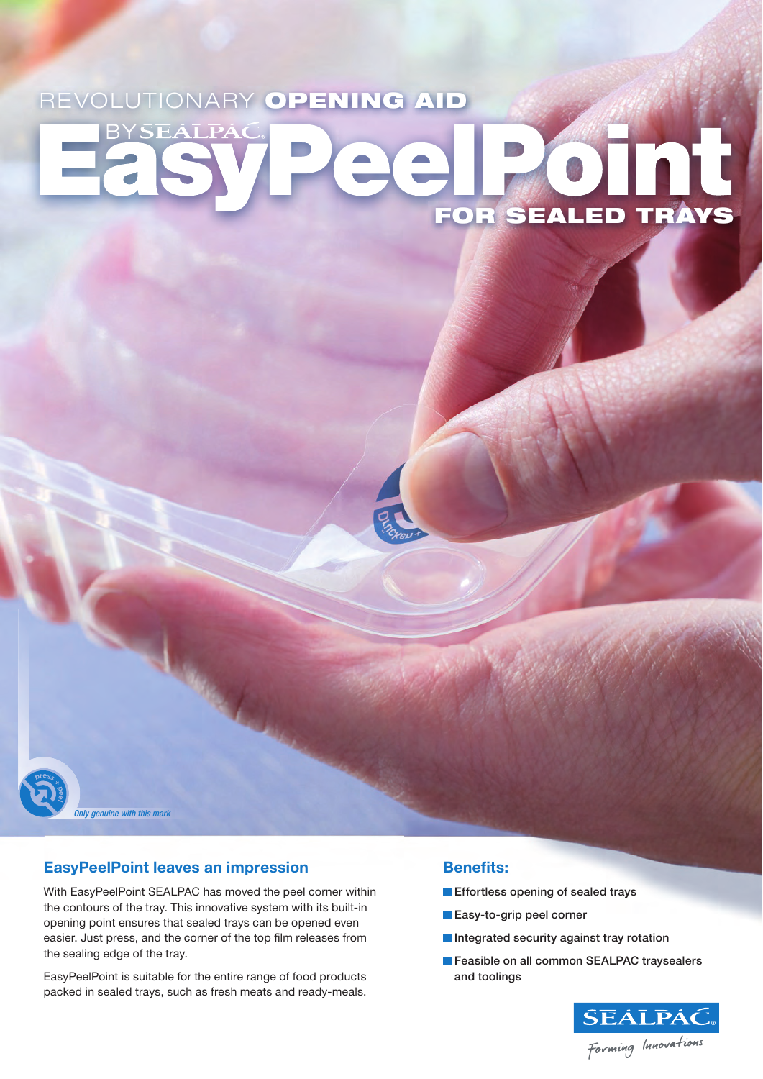# REVOLUTIONARY OPENING AID BYSEALPAC HE OTHAYS



*Only genuine with this mark*

# **EasyPeelPoint leaves an impression**

With EasyPeelPoint SEALPAC has moved the peel corner within the contours of the tray. This innovative system with its built-in opening point ensures that sealed trays can be opened even easier. Just press, and the corner of the top film releases from the sealing edge of the tray.

EasyPeelPoint is suitable for the entire range of food products packed in sealed trays, such as fresh meats and ready-meals.

# **Benefits:**

- **Effortless opening of sealed trays**
- **Easy-to-grip peel corner**
- Integrated security against tray rotation
- Feasible on all common SEALPAC traysealers and toolings